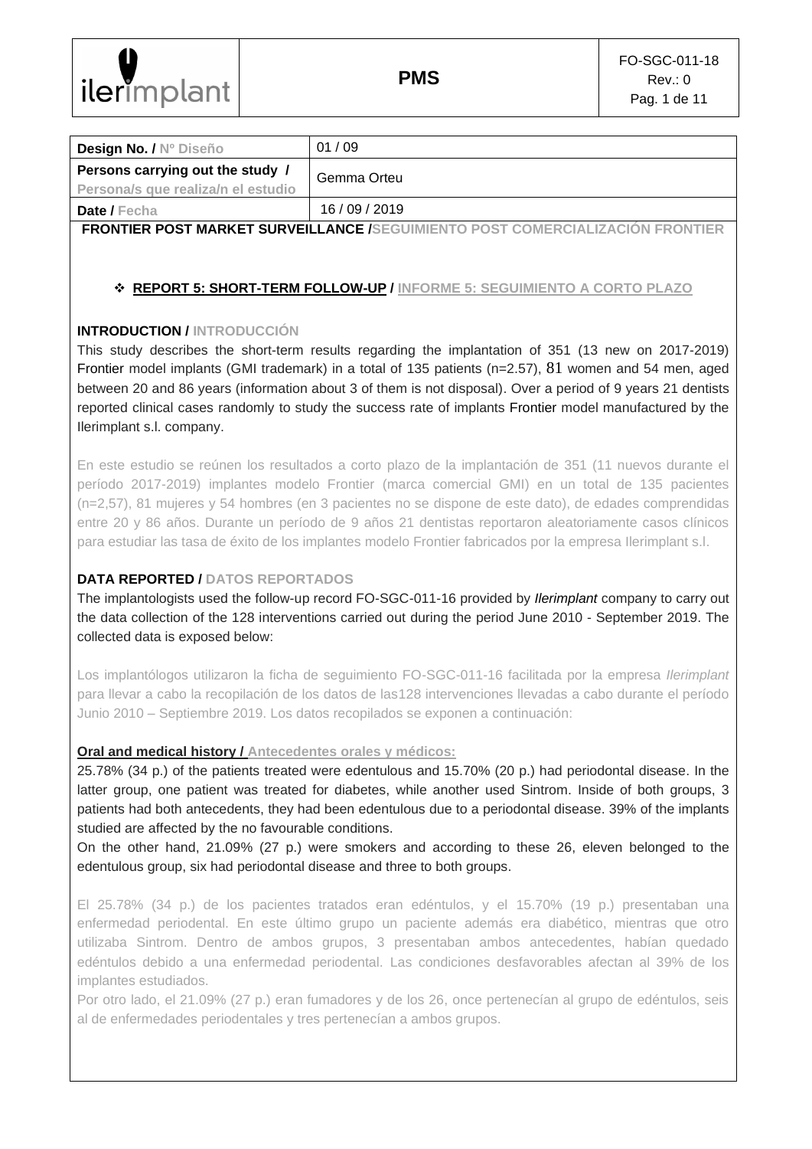

| Design No. / Nº Diseño             | 01/09                                                                                |
|------------------------------------|--------------------------------------------------------------------------------------|
| Persons carrying out the study /   | Gemma Orteu                                                                          |
| Persona/s que realiza/n el estudio |                                                                                      |
| Date / Fecha                       | 16/09/2019                                                                           |
|                                    | <b>FRONTIER POST MARKET SURVEILLANCE /SEGUIMIENTO POST COMERCIALIZACIÓN FRONTIER</b> |
|                                    |                                                                                      |

# ❖ **REPORT 5: SHORT-TERM FOLLOW-UP / INFORME 5: SEGUIMIENTO A CORTO PLAZO**

# **INTRODUCTION / INTRODUCCIÓN**

This study describes the short-term results regarding the implantation of 351 (13 new on 2017-2019) Frontier model implants (GMI trademark) in a total of 135 patients (n=2.57), 81 women and 54 men, aged between 20 and 86 years (information about 3 of them is not disposal). Over a period of 9 years 21 dentists reported clinical cases randomly to study the success rate of implants Frontier model manufactured by the Ilerimplant s.l. company.

En este estudio se reúnen los resultados a corto plazo de la implantación de 351 (11 nuevos durante el período 2017-2019) implantes modelo Frontier (marca comercial GMI) en un total de 135 pacientes (n=2,57), 81 mujeres y 54 hombres (en 3 pacientes no se dispone de este dato), de edades comprendidas entre 20 y 86 años. Durante un período de 9 años 21 dentistas reportaron aleatoriamente casos clínicos para estudiar las tasa de éxito de los implantes modelo Frontier fabricados por la empresa Ilerimplant s.l.

# **DATA REPORTED / DATOS REPORTADOS**

The implantologists used the follow-up record FO-SGC-011-16 provided by *Ilerimplant* company to carry out the data collection of the 128 interventions carried out during the period June 2010 - September 2019. The collected data is exposed below:

Los implantólogos utilizaron la ficha de seguimiento FO-SGC-011-16 facilitada por la empresa *Ilerimplant* para llevar a cabo la recopilación de los datos de las128 intervenciones llevadas a cabo durante el período Junio 2010 – Septiembre 2019. Los datos recopilados se exponen a continuación:

# **Oral and medical history / Antecedentes orales y médicos:**

25.78% (34 p.) of the patients treated were edentulous and 15.70% (20 p.) had periodontal disease. In the latter group, one patient was treated for diabetes, while another used Sintrom. Inside of both groups, 3 patients had both antecedents, they had been edentulous due to a periodontal disease. 39% of the implants studied are affected by the no favourable conditions.

On the other hand, 21.09% (27 p.) were smokers and according to these 26, eleven belonged to the edentulous group, six had periodontal disease and three to both groups.

El 25.78% (34 p.) de los pacientes tratados eran edéntulos, y el 15.70% (19 p.) presentaban una enfermedad periodental. En este último grupo un paciente además era diabético, mientras que otro utilizaba Sintrom. Dentro de ambos grupos, 3 presentaban ambos antecedentes, habían quedado edéntulos debido a una enfermedad periodental. Las condiciones desfavorables afectan al 39% de los implantes estudiados.

Por otro lado, el 21.09% (27 p.) eran fumadores y de los 26, once pertenecían al grupo de edéntulos, seis al de enfermedades periodentales y tres pertenecían a ambos grupos.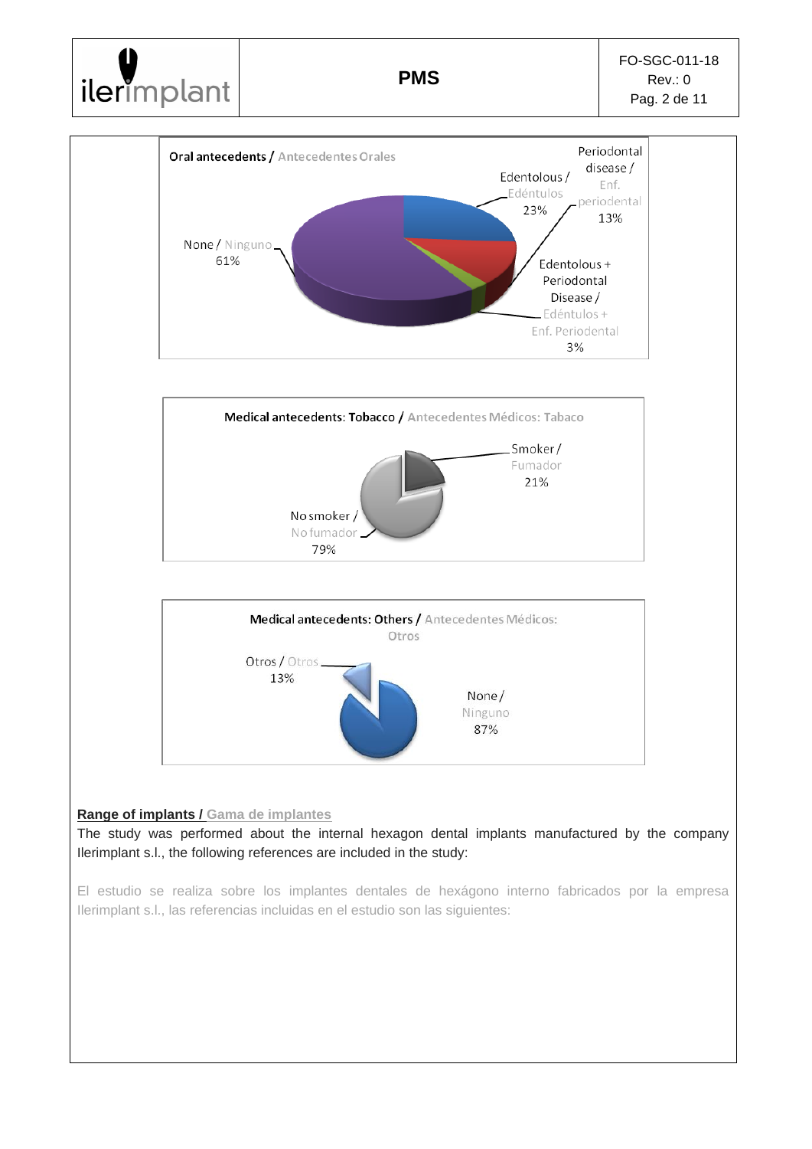

### **Range of implants / Gama de implantes**

The study was performed about the internal hexagon dental implants manufactured by the company Ilerimplant s.l., the following references are included in the study:

El estudio se realiza sobre los implantes dentales de hexágono interno fabricados por la empresa Ilerimplant s.l., las referencias incluidas en el estudio son las siguientes: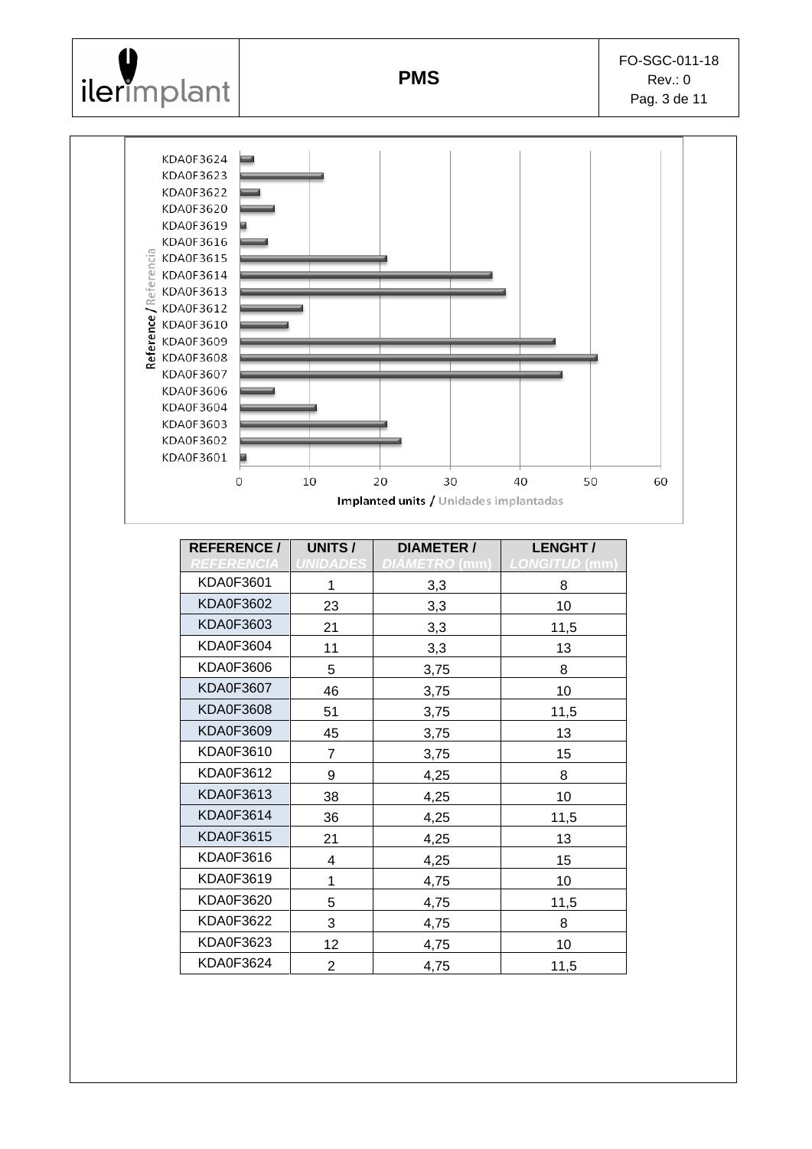



| <b>UNITS/</b><br><b>REFERENCE/</b> |                 | <b>DIAMETER /</b>    | LENGHT/              |  |
|------------------------------------|-----------------|----------------------|----------------------|--|
| <i><b>REFERENCIA</b></i>           | <b>UNIDADES</b> | <i>DIÀMETRO</i> (mm) | <b>LONGITUD (mm)</b> |  |
| KDA0F3601                          | 1               | 3,3                  | 8                    |  |
| <b>KDA0F3602</b>                   | 23              | 3,3                  | 10 <sup>1</sup>      |  |
| KDA0F3603                          | 21              | 3,3                  | 11,5                 |  |
| <b>KDA0F3604</b>                   | 11              | 3,3                  | 13                   |  |
| KDA0F3606                          | 5               | 3,75                 | 8                    |  |
| <b>KDA0F3607</b>                   | 46              | 3,75                 | 10                   |  |
| <b>KDA0F3608</b>                   | 51              | 3,75                 | 11,5                 |  |
| KDA0F3609                          | 45              | 3,75                 | 13                   |  |
| KDA0F3610                          | 7               | 3,75                 | 15                   |  |
| KDA0F3612                          | 9               | 4,25                 | 8                    |  |
| KDA0F3613                          | 38              | 4,25                 | 10                   |  |
| KDA0F3614                          | 36              | 4,25                 | 11,5                 |  |
| KDA0F3615                          | 21              | 4,25                 | 13                   |  |
| KDA0F3616                          | 4               | 4,25                 | 15                   |  |
| KDA0F3619                          | 1               | 4,75                 | 10                   |  |
| KDA0F3620                          | 5               | 4,75                 | 11,5                 |  |
| KDA0F3622                          | 3               | 4,75                 | 8                    |  |
| KDA0F3623                          | 12              | 4,75                 | 10 <sup>1</sup>      |  |
| <b>KDA0F3624</b>                   | $\overline{2}$  | 4,75                 | 11,5                 |  |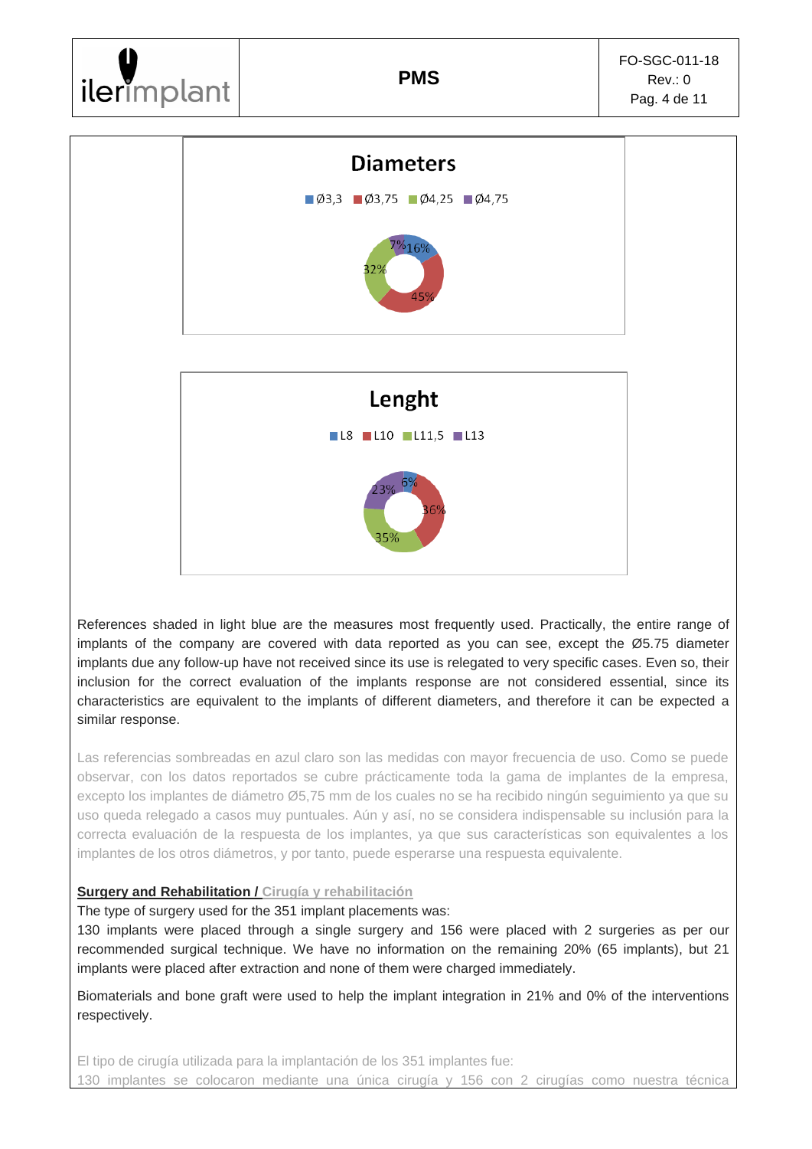# ilerimplant



References shaded in light blue are the measures most frequently used. Practically, the entire range of implants of the company are covered with data reported as you can see, except the Ø5.75 diameter implants due any follow-up have not received since its use is relegated to very specific cases. Even so, their inclusion for the correct evaluation of the implants response are not considered essential, since its characteristics are equivalent to the implants of different diameters, and therefore it can be expected a similar response.

Las referencias sombreadas en azul claro son las medidas con mayor frecuencia de uso. Como se puede observar, con los datos reportados se cubre prácticamente toda la gama de implantes de la empresa, excepto los implantes de diámetro Ø5,75 mm de los cuales no se ha recibido ningún seguimiento ya que su uso queda relegado a casos muy puntuales. Aún y así, no se considera indispensable su inclusión para la correcta evaluación de la respuesta de los implantes, ya que sus características son equivalentes a los implantes de los otros diámetros, y por tanto, puede esperarse una respuesta equivalente.

# **Surgery and Rehabilitation / Cirugía y rehabilitación**

The type of surgery used for the 351 implant placements was:

130 implants were placed through a single surgery and 156 were placed with 2 surgeries as per our recommended surgical technique. We have no information on the remaining 20% (65 implants), but 21 implants were placed after extraction and none of them were charged immediately.

Biomaterials and bone graft were used to help the implant integration in 21% and 0% of the interventions respectively.

El tipo de cirugía utilizada para la implantación de los 351 implantes fue: 130 implantes se colocaron mediante una única cirugía y 156 con 2 cirugías como nuestra técnica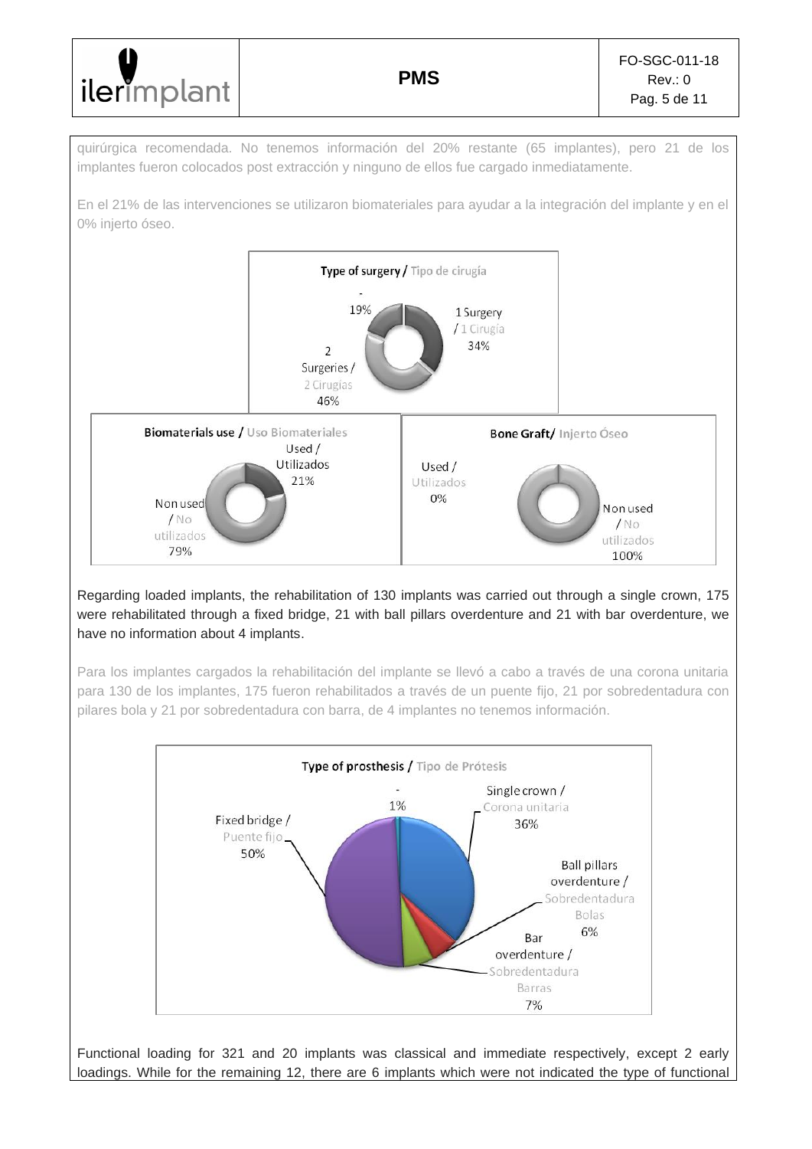| lilerimplant | <b>PMS</b> | FO-SGC-011-18<br>Rev: 0<br>Pag. 5 de 11 |
|--------------|------------|-----------------------------------------|
|--------------|------------|-----------------------------------------|

quirúrgica recomendada. No tenemos información del 20% restante (65 implantes), pero 21 de los implantes fueron colocados post extracción y ninguno de ellos fue cargado inmediatamente.

En el 21% de las intervenciones se utilizaron biomateriales para ayudar a la integración del implante y en el 0% injerto óseo.



# Regarding loaded implants, the rehabilitation of 130 implants was carried out through a single crown, 175 were rehabilitated through a fixed bridge, 21 with ball pillars overdenture and 21 with bar overdenture, we have no information about 4 implants.

Para los implantes cargados la rehabilitación del implante se llevó a cabo a través de una corona unitaria para 130 de los implantes, 175 fueron rehabilitados a través de un puente fijo, 21 por sobredentadura con pilares bola y 21 por sobredentadura con barra, de 4 implantes no tenemos información.



Functional loading for 321 and 20 implants was classical and immediate respectively, except 2 early loadings. While for the remaining 12, there are 6 implants which were not indicated the type of functional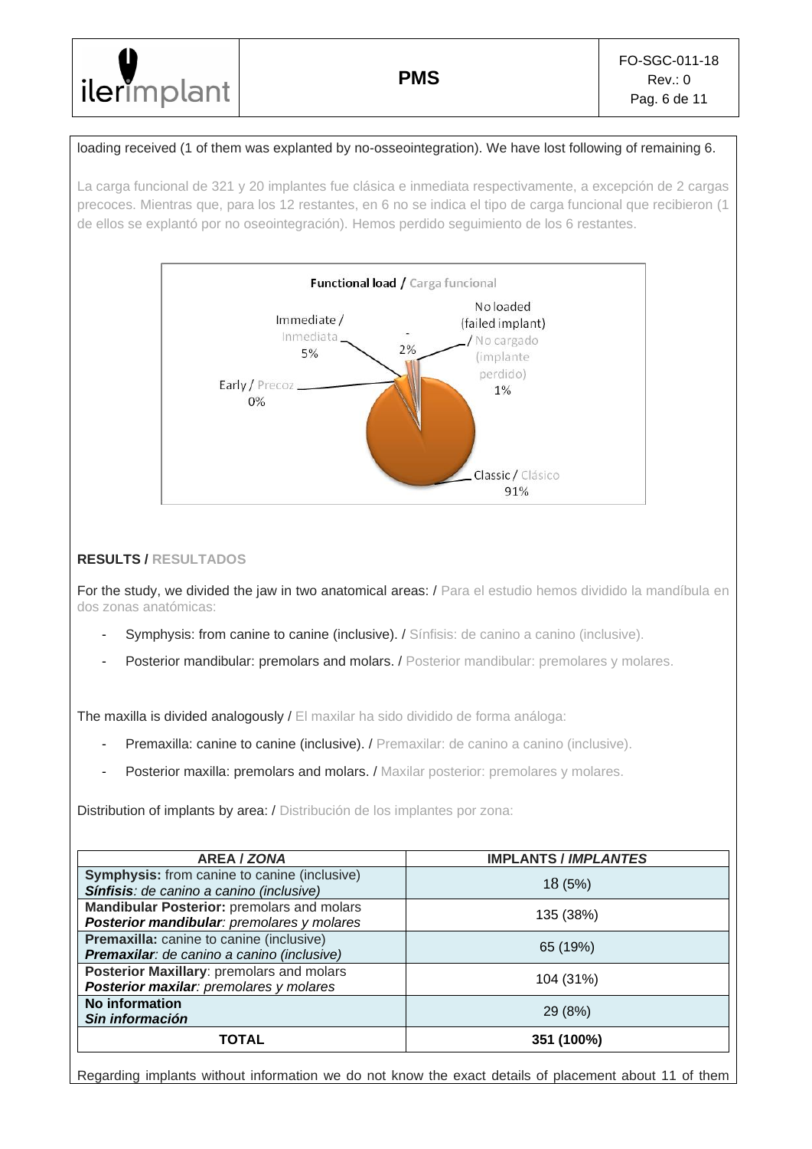# loading received (1 of them was explanted by no-osseointegration). We have lost following of remaining 6.

La carga funcional de 321 y 20 implantes fue clásica e inmediata respectivamente, a excepción de 2 cargas precoces. Mientras que, para los 12 restantes, en 6 no se indica el tipo de carga funcional que recibieron (1 de ellos se explantó por no oseointegración). Hemos perdido seguimiento de los 6 restantes.



# **RESULTS / RESULTADOS**

For the study, we divided the jaw in two anatomical areas: / Para el estudio hemos dividido la mandíbula en dos zonas anatómicas:

- Symphysis: from canine to canine (inclusive). / Sínfisis: de canino a canino (inclusive).
- Posterior mandibular: premolars and molars. / Posterior mandibular: premolares y molares.

The maxilla is divided analogously / El maxilar ha sido dividido de forma análoga:

- Premaxilla: canine to canine (inclusive). / Premaxilar: de canino a canino (inclusive).
- Posterior maxilla: premolars and molars. / Maxilar posterior: premolares y molares.

Distribution of implants by area: / Distribución de los implantes por zona:

| <b>AREA / ZONA</b>                                                                              | <b>IMPLANTS / IMPLANTES</b> |
|-------------------------------------------------------------------------------------------------|-----------------------------|
| <b>Symphysis:</b> from canine to canine (inclusive)<br>Sínfisis: de canino a canino (inclusive) | 18 (5%)                     |
| Mandibular Posterior: premolars and molars<br>Posterior mandibular: premolares y molares        | 135 (38%)                   |
| Premaxilla: canine to canine (inclusive)<br>Premaxilar: de canino a canino (inclusive)          | 65 (19%)                    |
| Posterior Maxillary: premolars and molars<br>Posterior maxilar: premolares y molares            | 104 (31%)                   |
| No information<br>Sin información                                                               | 29 (8%)                     |
| TOTAL                                                                                           | 351 (100%)                  |

Regarding implants without information we do not know the exact details of placement about 11 of them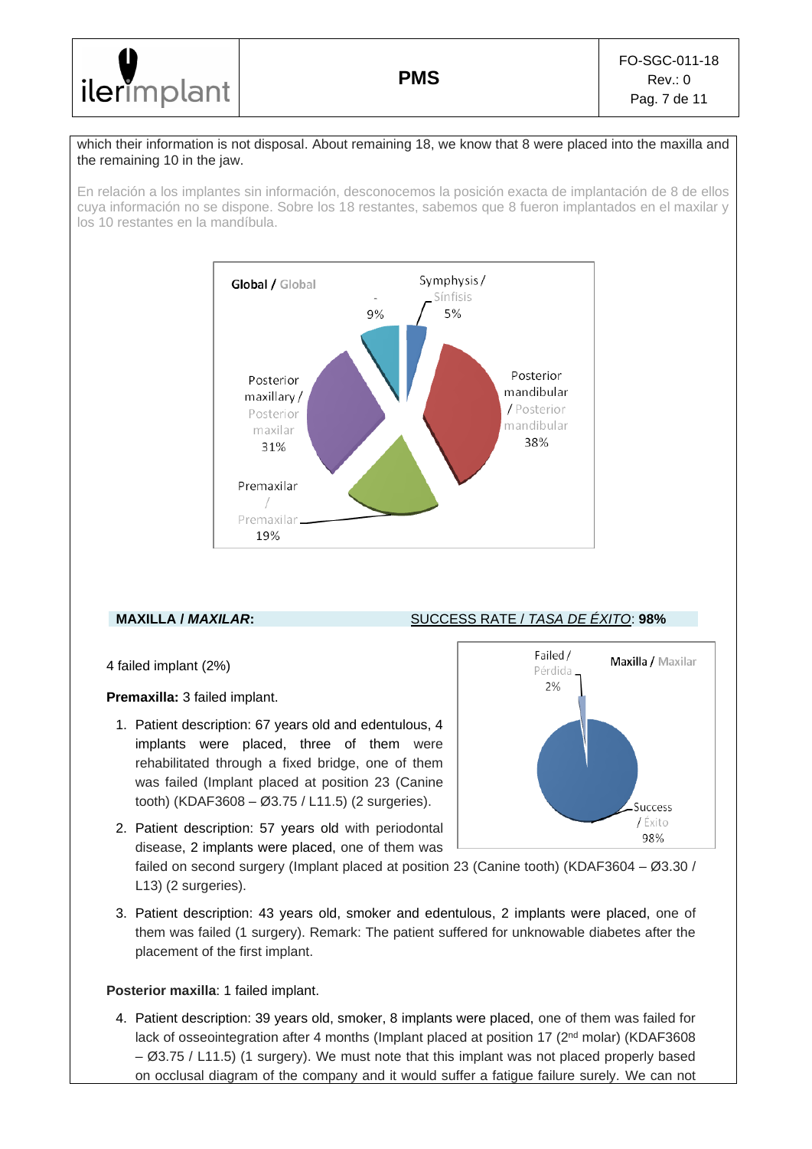

#### which their information is not disposal. About remaining 18, we know that 8 were placed into the maxilla and the remaining 10 in the jaw.

En relación a los implantes sin información, desconocemos la posición exacta de implantación de 8 de ellos cuya información no se dispone. Sobre los 18 restantes, sabemos que 8 fueron implantados en el maxilar y los 10 restantes en la mandíbula.



# **MAXILLA /** *MAXILAR***:** SUCCESS RATE / *TASA DE ÉXITO*: **98%**

4 failed implant (2%)

**Premaxilla:** 3 failed implant.

1. Patient description: 67 years old and edentulous, 4 implants were placed, three of them were rehabilitated through a fixed bridge, one of them was failed (Implant placed at position 23 (Canine tooth) (KDAF3608 – Ø3.75 / L11.5) (2 surgeries).



2. Patient description: 57 years old with periodontal disease, 2 implants were placed, one of them was

failed on second surgery (Implant placed at position 23 (Canine tooth) (KDAF3604 – Ø3.30 / L13) (2 surgeries).

3. Patient description: 43 years old, smoker and edentulous, 2 implants were placed, one of them was failed (1 surgery). Remark: The patient suffered for unknowable diabetes after the placement of the first implant.

### **Posterior maxilla**: 1 failed implant.

4. Patient description: 39 years old, smoker, 8 implants were placed, one of them was failed for lack of osseointegration after 4 months (Implant placed at position 17 (2<sup>nd</sup> molar) (KDAF3608 – Ø3.75 / L11.5) (1 surgery). We must note that this implant was not placed properly based on occlusal diagram of the company and it would suffer a fatigue failure surely. We can not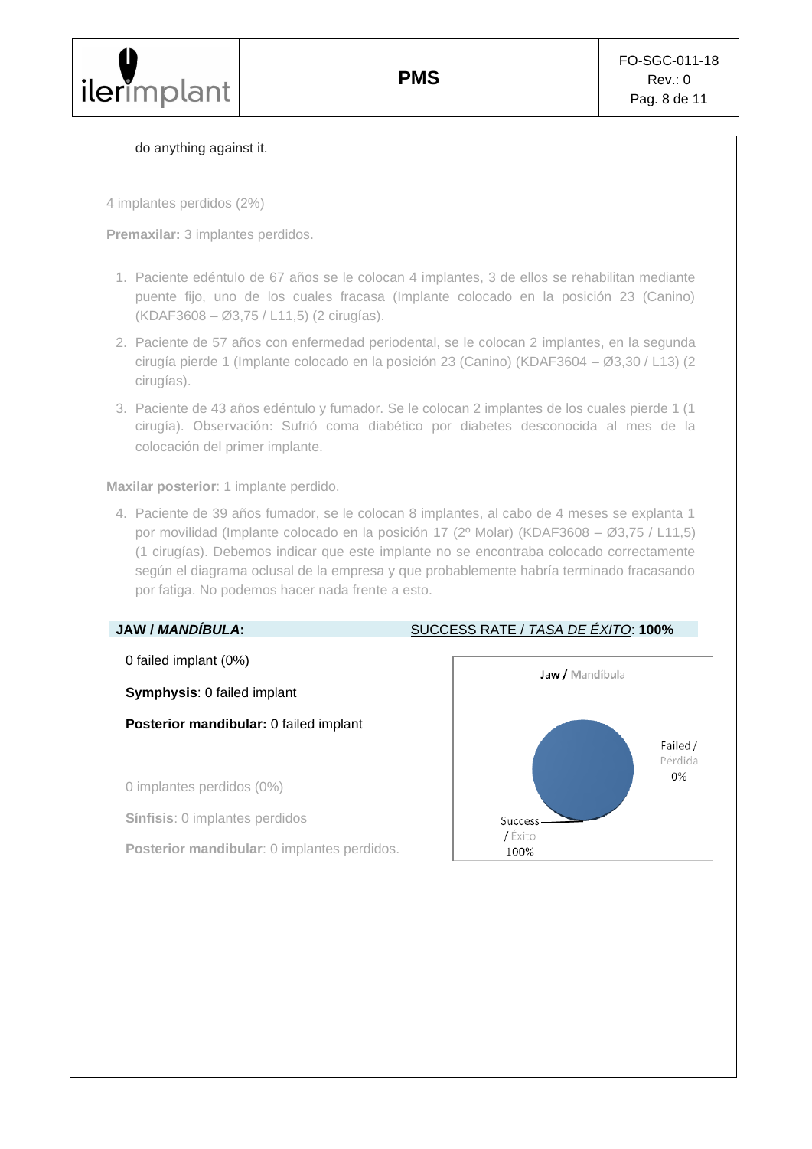#### do anything against it.

4 implantes perdidos (2%)

**Premaxilar:** 3 implantes perdidos.

- 1. Paciente edéntulo de 67 años se le colocan 4 implantes, 3 de ellos se rehabilitan mediante puente fijo, uno de los cuales fracasa (Implante colocado en la posición 23 (Canino) (KDAF3608 – Ø3,75 / L11,5) (2 cirugías).
- 2. Paciente de 57 años con enfermedad periodental, se le colocan 2 implantes, en la segunda cirugía pierde 1 (Implante colocado en la posición 23 (Canino) (KDAF3604 – Ø3,30 / L13) (2 cirugías).
- 3. Paciente de 43 años edéntulo y fumador. Se le colocan 2 implantes de los cuales pierde 1 (1 cirugía). Observación: Sufrió coma diabético por diabetes desconocida al mes de la colocación del primer implante.

**Maxilar posterior**: 1 implante perdido.

4. Paciente de 39 años fumador, se le colocan 8 implantes, al cabo de 4 meses se explanta 1 por movilidad (Implante colocado en la posición 17 (2º Molar) (KDAF3608 – Ø3,75 / L11,5) (1 cirugías). Debemos indicar que este implante no se encontraba colocado correctamente según el diagrama oclusal de la empresa y que probablemente habría terminado fracasando por fatiga. No podemos hacer nada frente a esto.

0 failed implant (0%)

**Symphysis**: 0 failed implant

**Posterior mandibular:** 0 failed implant

0 implantes perdidos (0%)

**Sínfisis**: 0 implantes perdidos

**Posterior mandibular**: 0 implantes perdidos.

### **JAW /** *MANDÍBULA***:** SUCCESS RATE / *TASA DE ÉXITO*: **100%**

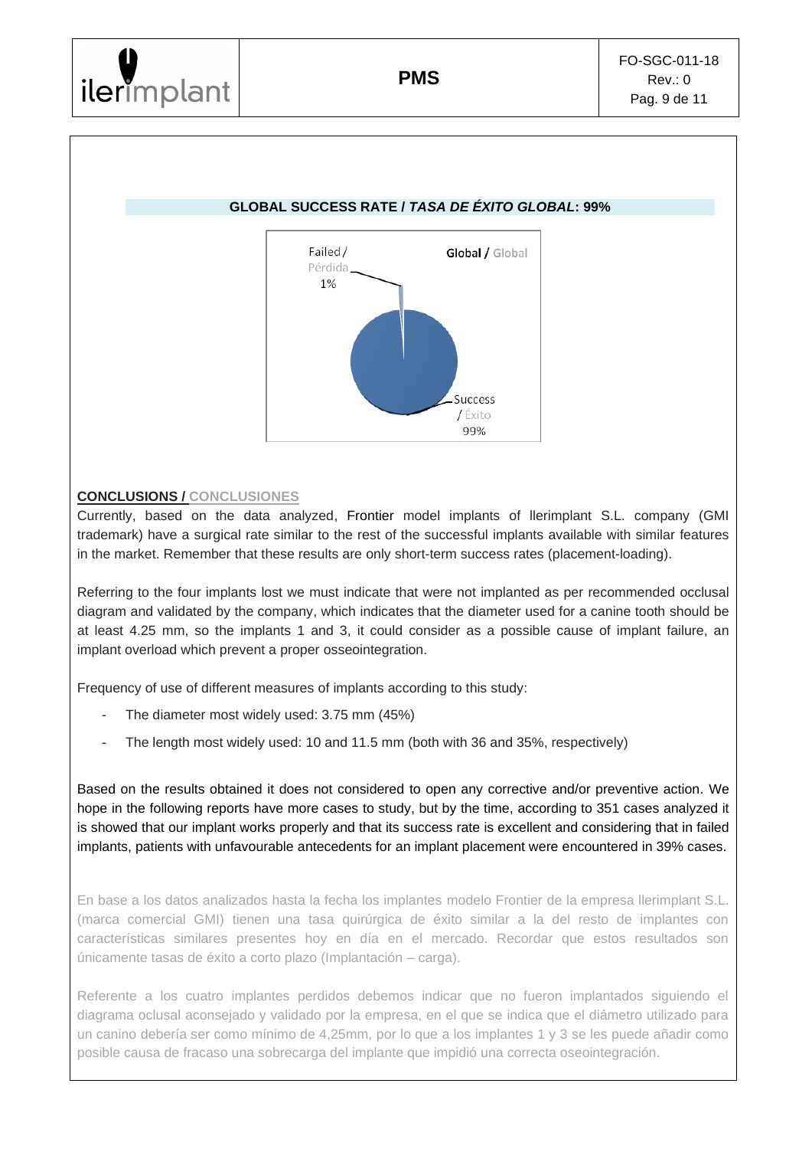# **GLOBAL SUCCESS RATE /** *TASA DE ÉXITO GLOBAL***: 99%**



# **CONCLUSIONS / CONCLUSIONES**

Currently, based on the data analyzed, Frontier model implants of llerimplant S.L. company (GMI trademark) have a surgical rate similar to the rest of the successful implants available with similar features in the market. Remember that these results are only short-term success rates (placement-loading).

Referring to the four implants lost we must indicate that were not implanted as per recommended occlusal diagram and validated by the company, which indicates that the diameter used for a canine tooth should be at least 4.25 mm, so the implants 1 and 3, it could consider as a possible cause of implant failure, an implant overload which prevent a proper osseointegration.

Frequency of use of different measures of implants according to this study:

- The diameter most widely used: 3.75 mm (45%)
- The length most widely used: 10 and 11.5 mm (both with 36 and 35%, respectively)

Based on the results obtained it does not considered to open any corrective and/or preventive action. We hope in the following reports have more cases to study, but by the time, according to 351 cases analyzed it is showed that our implant works properly and that its success rate is excellent and considering that in failed implants, patients with unfavourable antecedents for an implant placement were encountered in 39% cases.

En base a los datos analizados hasta la fecha los implantes modelo Frontier de la empresa llerimplant S.L. (marca comercial GMI) tienen una tasa quirúrgica de éxito similar a la del resto de implantes con características similares presentes hoy en día en el mercado. Recordar que estos resultados son únicamente tasas de éxito a corto plazo (Implantación – carga).

Referente a los cuatro implantes perdidos debemos indicar que no fueron implantados siguiendo el diagrama oclusal aconsejado y validado por la empresa, en el que se indica que el diámetro utilizado para un canino debería ser como mínimo de 4,25mm, por lo que a los implantes 1 y 3 se les puede añadir como posible causa de fracaso una sobrecarga del implante que impidió una correcta oseointegración.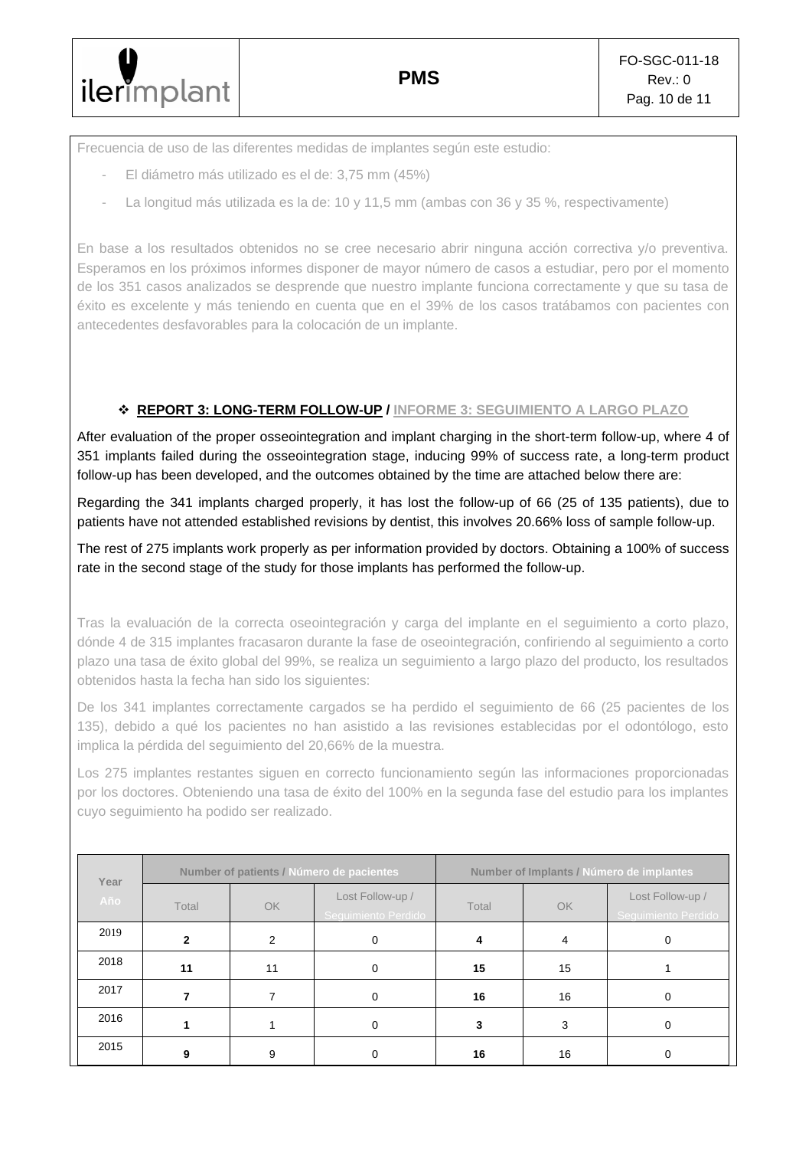Frecuencia de uso de las diferentes medidas de implantes según este estudio:

- El diámetro más utilizado es el de: 3,75 mm (45%)
- La longitud más utilizada es la de: 10 y 11,5 mm (ambas con 36 y 35 %, respectivamente)

En base a los resultados obtenidos no se cree necesario abrir ninguna acción correctiva y/o preventiva. Esperamos en los próximos informes disponer de mayor número de casos a estudiar, pero por el momento de los 351 casos analizados se desprende que nuestro implante funciona correctamente y que su tasa de éxito es excelente y más teniendo en cuenta que en el 39% de los casos tratábamos con pacientes con antecedentes desfavorables para la colocación de un implante.

# ❖ **REPORT 3: LONG-TERM FOLLOW-UP / INFORME 3: SEGUIMIENTO A LARGO PLAZO**

After evaluation of the proper osseointegration and implant charging in the short-term follow-up, where 4 of 351 implants failed during the osseointegration stage, inducing 99% of success rate, a long-term product follow-up has been developed, and the outcomes obtained by the time are attached below there are:

Regarding the 341 implants charged properly, it has lost the follow-up of 66 (25 of 135 patients), due to patients have not attended established revisions by dentist, this involves 20.66% loss of sample follow-up.

The rest of 275 implants work properly as per information provided by doctors. Obtaining a 100% of success rate in the second stage of the study for those implants has performed the follow-up.

Tras la evaluación de la correcta oseointegración y carga del implante en el seguimiento a corto plazo, dónde 4 de 315 implantes fracasaron durante la fase de oseointegración, confiriendo al seguimiento a corto plazo una tasa de éxito global del 99%, se realiza un seguimiento a largo plazo del producto, los resultados obtenidos hasta la fecha han sido los siguientes:

De los 341 implantes correctamente cargados se ha perdido el seguimiento de 66 (25 pacientes de los 135), debido a qué los pacientes no han asistido a las revisiones establecidas por el odontólogo, esto implica la pérdida del seguimiento del 20,66% de la muestra.

Los 275 implantes restantes siguen en correcto funcionamiento según las informaciones proporcionadas por los doctores. Obteniendo una tasa de éxito del 100% en la segunda fase del estudio para los implantes cuyo seguimiento ha podido ser realizado.

| Year | Number of patients / Número de pacientes |    |                                                  | Number of Implants / Número de implantes |    |                                         |
|------|------------------------------------------|----|--------------------------------------------------|------------------------------------------|----|-----------------------------------------|
| Año  | Total                                    | OK | Lost Follow-up /<br>Total<br>Seguimiento Perdido |                                          | OK | Lost Follow-up /<br>Seguimiento Perdido |
| 2019 | $\overline{2}$                           | 2  | 0                                                |                                          | 4  | 0                                       |
| 2018 | 11                                       | 11 | 0                                                | 15                                       | 15 |                                         |
| 2017 |                                          | 7  | 0                                                | 16                                       | 16 | Ω                                       |
| 2016 |                                          |    | Ω                                                | 3                                        | 3  |                                         |
| 2015 | 9                                        | 9  |                                                  | 16                                       | 16 |                                         |